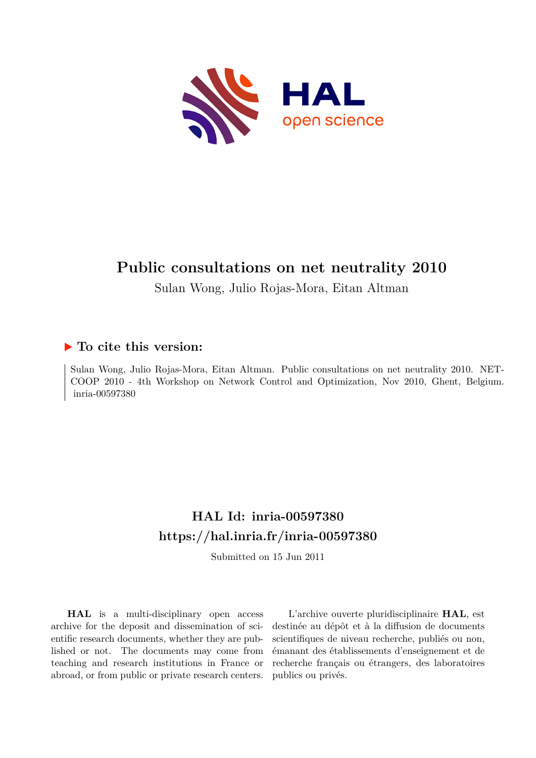

## **Public consultations on net neutrality 2010**

Sulan Wong, Julio Rojas-Mora, Eitan Altman

## **To cite this version:**

Sulan Wong, Julio Rojas-Mora, Eitan Altman. Public consultations on net neutrality 2010. NET-COOP 2010 - 4th Workshop on Network Control and Optimization, Nov 2010, Ghent, Belgium. inria-00597380

## **HAL Id: inria-00597380 <https://hal.inria.fr/inria-00597380>**

Submitted on 15 Jun 2011

**HAL** is a multi-disciplinary open access archive for the deposit and dissemination of scientific research documents, whether they are published or not. The documents may come from teaching and research institutions in France or abroad, or from public or private research centers.

L'archive ouverte pluridisciplinaire **HAL**, est destinée au dépôt et à la diffusion de documents scientifiques de niveau recherche, publiés ou non, émanant des établissements d'enseignement et de recherche français ou étrangers, des laboratoires publics ou privés.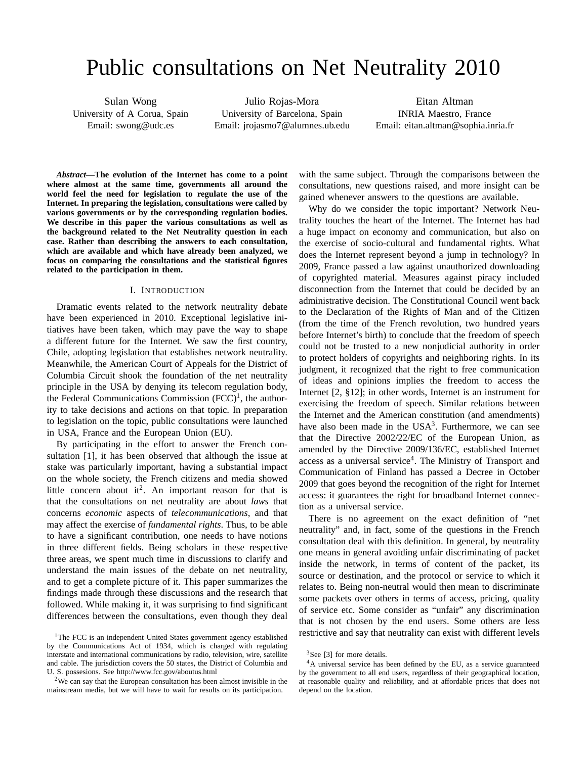# Public consultations on Net Neutrality 2010

Sulan Wong University of A Corua, Spain Email: swong@udc.es

Julio Rojas-Mora University of Barcelona, Spain Email: jrojasmo7@alumnes.ub.edu

Eitan Altman INRIA Maestro, France Email: eitan.altman@sophia.inria.fr

*Abstract***—The evolution of the Internet has come to a point where almost at the same time, governments all around the world feel the need for legislation to regulate the use of the Internet. In preparing the legislation, consultations were called by various governments or by the corresponding regulation bodies. We describe in this paper the various consultations as well as the background related to the Net Neutrality question in each case. Rather than describing the answers to each consultation, which are available and which have already been analyzed, we focus on comparing the consultations and the statistical figures related to the participation in them.**

#### I. INTRODUCTION

Dramatic events related to the network neutrality debate have been experienced in 2010. Exceptional legislative initiatives have been taken, which may pave the way to shape a different future for the Internet. We saw the first country, Chile, adopting legislation that establishes network neutrality. Meanwhile, the American Court of Appeals for the District of Columbia Circuit shook the foundation of the net neutrality principle in the USA by denying its telecom regulation body, the Federal Communications Commission  $(FCC)^1$ , the authority to take decisions and actions on that topic. In preparation to legislation on the topic, public consultations were launched in USA, France and the European Union (EU).

By participating in the effort to answer the French consultation [1], it has been observed that although the issue at stake was particularly important, having a substantial impact on the whole society, the French citizens and media showed little concern about it<sup>2</sup>. An important reason for that is that the consultations on net neutrality are about *laws* that concerns *economic* aspects of *telecommunications*, and that may affect the exercise of *fundamental rights*. Thus, to be able to have a significant contribution, one needs to have notions in three different fields. Being scholars in these respective three areas, we spent much time in discussions to clarify and understand the main issues of the debate on net neutrality, and to get a complete picture of it. This paper summarizes the findings made through these discussions and the research that followed. While making it, it was surprising to find significant differences between the consultations, even though they deal with the same subject. Through the comparisons between the consultations, new questions raised, and more insight can be gained whenever answers to the questions are available.

Why do we consider the topic important? Network Neutrality touches the heart of the Internet. The Internet has had a huge impact on economy and communication, but also on the exercise of socio-cultural and fundamental rights. What does the Internet represent beyond a jump in technology? In 2009, France passed a law against unauthorized downloading of copyrighted material. Measures against piracy included disconnection from the Internet that could be decided by an administrative decision. The Constitutional Council went back to the Declaration of the Rights of Man and of the Citizen (from the time of the French revolution, two hundred years before Internet's birth) to conclude that the freedom of speech could not be trusted to a new nonjudicial authority in order to protect holders of copyrights and neighboring rights. In its judgment, it recognized that the right to free communication of ideas and opinions implies the freedom to access the Internet [2, §12]; in other words, Internet is an instrument for exercising the freedom of speech. Similar relations between the Internet and the American constitution (and amendments) have also been made in the  $USA<sup>3</sup>$ . Furthermore, we can see that the Directive 2002/22/EC of the European Union, as amended by the Directive 2009/136/EC, established Internet access as a universal service<sup>4</sup>. The Ministry of Transport and Communication of Finland has passed a Decree in October 2009 that goes beyond the recognition of the right for Internet access: it guarantees the right for broadband Internet connection as a universal service.

There is no agreement on the exact definition of "net neutrality" and, in fact, some of the questions in the French consultation deal with this definition. In general, by neutrality one means in general avoiding unfair discriminating of packet inside the network, in terms of content of the packet, its source or destination, and the protocol or service to which it relates to. Being non-neutral would then mean to discriminate some packets over others in terms of access, pricing, quality of service etc. Some consider as "unfair" any discrimination that is not chosen by the end users. Some others are less restrictive and say that neutrality can exist with different levels

<sup>&</sup>lt;sup>1</sup>The FCC is an independent United States government agency established by the Communications Act of 1934, which is charged with regulating interstate and international communications by radio, television, wire, satellite and cable. The jurisdiction covers the 50 states, the District of Columbia and U. S. possesions. See http://www.fcc.gov/aboutus.html

<sup>2</sup>We can say that the European consultation has been almost invisible in the mainstream media, but we will have to wait for results on its participation.

<sup>&</sup>lt;sup>3</sup>See [3] for more details.

<sup>&</sup>lt;sup>4</sup>A universal service has been defined by the EU, as a service guaranteed by the government to all end users, regardless of their geographical location, at reasonable quality and reliability, and at affordable prices that does not depend on the location.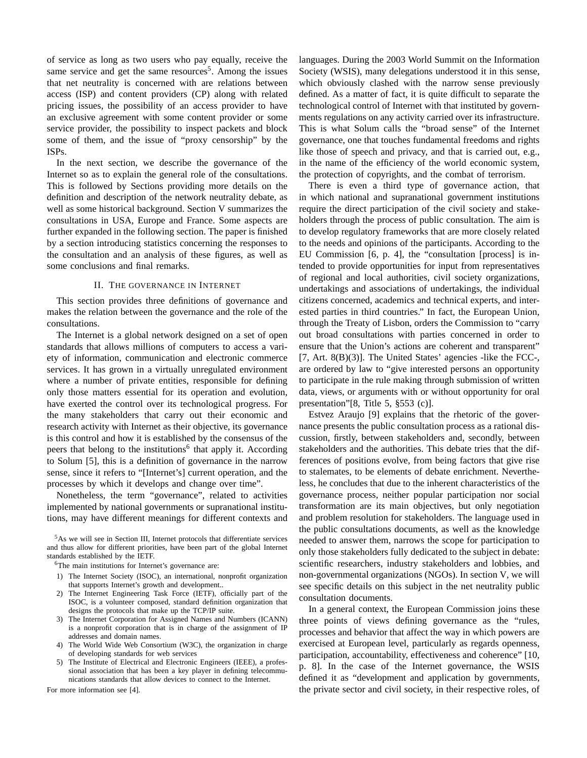of service as long as two users who pay equally, receive the same service and get the same resources<sup>5</sup>. Among the issues that net neutrality is concerned with are relations between access (ISP) and content providers (CP) along with related pricing issues, the possibility of an access provider to have an exclusive agreement with some content provider or some service provider, the possibility to inspect packets and block some of them, and the issue of "proxy censorship" by the ISPs.

In the next section, we describe the governance of the Internet so as to explain the general role of the consultations. This is followed by Sections providing more details on the definition and description of the network neutrality debate, as well as some historical background. Section V summarizes the consultations in USA, Europe and France. Some aspects are further expanded in the following section. The paper is finished by a section introducing statistics concerning the responses to the consultation and an analysis of these figures, as well as some conclusions and final remarks.

#### II. THE GOVERNANCE IN INTERNET

This section provides three definitions of governance and makes the relation between the governance and the role of the consultations.

The Internet is a global network designed on a set of open standards that allows millions of computers to access a variety of information, communication and electronic commerce services. It has grown in a virtually unregulated environment where a number of private entities, responsible for defining only those matters essential for its operation and evolution, have exerted the control over its technological progress. For the many stakeholders that carry out their economic and research activity with Internet as their objective, its governance is this control and how it is established by the consensus of the peers that belong to the institutions<sup>6</sup> that apply it. According to Solum [5], this is a definition of governance in the narrow sense, since it refers to "[Internet's] current operation, and the processes by which it develops and change over time".

Nonetheless, the term "governance", related to activities implemented by national governments or supranational institutions, may have different meanings for different contexts and

<sup>5</sup>As we will see in Section III, Internet protocols that differentiate services and thus allow for different priorities, have been part of the global Internet standards established by the IETF.

- <sup>6</sup>The main institutions for Internet's governance are:
- 1) The Internet Society (ISOC), an international, nonprofit organization that supports Internet's growth and development..
- 2) The Internet Engineering Task Force (IETF), officially part of the ISOC, is a volunteer composed, standard definition organization that designs the protocols that make up the TCP/IP suite.
- 3) The Internet Corporation for Assigned Names and Numbers (ICANN) is a nonprofit corporation that is in charge of the assignment of IP addresses and domain names.
- 4) The World Wide Web Consortium (W3C), the organization in charge of developing standards for web services
- 5) The Institute of Electrical and Electronic Engineers (IEEE), a professional association that has been a key player in defining telecommunications standards that allow devices to connect to the Internet.

For more information see [4].

languages. During the 2003 World Summit on the Information Society (WSIS), many delegations understood it in this sense, which obviously clashed with the narrow sense previously defined. As a matter of fact, it is quite difficult to separate the technological control of Internet with that instituted by governments regulations on any activity carried over its infrastructure. This is what Solum calls the "broad sense" of the Internet governance, one that touches fundamental freedoms and rights like those of speech and privacy, and that is carried out, e.g., in the name of the efficiency of the world economic system, the protection of copyrights, and the combat of terrorism.

There is even a third type of governance action, that in which national and supranational government institutions require the direct participation of the civil society and stakeholders through the process of public consultation. The aim is to develop regulatory frameworks that are more closely related to the needs and opinions of the participants. According to the EU Commission [6, p. 4], the "consultation [process] is intended to provide opportunities for input from representatives of regional and local authorities, civil society organizations, undertakings and associations of undertakings, the individual citizens concerned, academics and technical experts, and interested parties in third countries." In fact, the European Union, through the Treaty of Lisbon, orders the Commission to "carry out broad consultations with parties concerned in order to ensure that the Union's actions are coherent and transparent" [7, Art. 8(B)(3)]. The United States' agencies -like the FCC-, are ordered by law to "give interested persons an opportunity to participate in the rule making through submission of written data, views, or arguments with or without opportunity for oral presentation"[8, Title 5, §553 (c)].

Estvez Araujo [9] explains that the rhetoric of the governance presents the public consultation process as a rational discussion, firstly, between stakeholders and, secondly, between stakeholders and the authorities. This debate tries that the differences of positions evolve, from being factors that give rise to stalemates, to be elements of debate enrichment. Nevertheless, he concludes that due to the inherent characteristics of the governance process, neither popular participation nor social transformation are its main objectives, but only negotiation and problem resolution for stakeholders. The language used in the public consultations documents, as well as the knowledge needed to answer them, narrows the scope for participation to only those stakeholders fully dedicated to the subject in debate: scientific researchers, industry stakeholders and lobbies, and non-governmental organizations (NGOs). In section V, we will see specific details on this subject in the net neutrality public consultation documents.

In a general context, the European Commission joins these three points of views defining governance as the "rules, processes and behavior that affect the way in which powers are exercised at European level, particularly as regards openness, participation, accountability, effectiveness and coherence" [10, p. 8]. In the case of the Internet governance, the WSIS defined it as "development and application by governments, the private sector and civil society, in their respective roles, of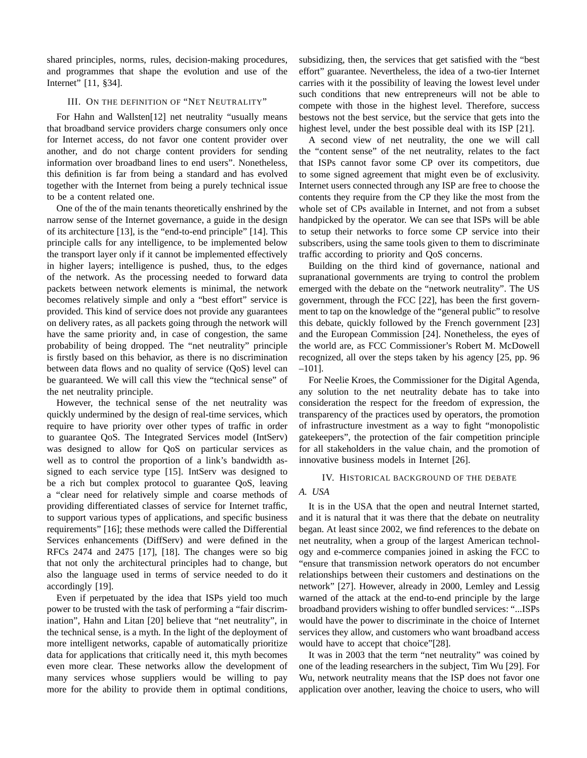shared principles, norms, rules, decision-making procedures, and programmes that shape the evolution and use of the Internet" [11, §34].

#### III. ON THE DEFINITION OF "NET NEUTRALITY"

For Hahn and Wallsten[12] net neutrality "usually means that broadband service providers charge consumers only once for Internet access, do not favor one content provider over another, and do not charge content providers for sending information over broadband lines to end users". Nonetheless, this definition is far from being a standard and has evolved together with the Internet from being a purely technical issue to be a content related one.

One of the of the main tenants theoretically enshrined by the narrow sense of the Internet governance, a guide in the design of its architecture [13], is the "end-to-end principle" [14]. This principle calls for any intelligence, to be implemented below the transport layer only if it cannot be implemented effectively in higher layers; intelligence is pushed, thus, to the edges of the network. As the processing needed to forward data packets between network elements is minimal, the network becomes relatively simple and only a "best effort" service is provided. This kind of service does not provide any guarantees on delivery rates, as all packets going through the network will have the same priority and, in case of congestion, the same probability of being dropped. The "net neutrality" principle is firstly based on this behavior, as there is no discrimination between data flows and no quality of service (QoS) level can be guaranteed. We will call this view the "technical sense" of the net neutrality principle.

However, the technical sense of the net neutrality was quickly undermined by the design of real-time services, which require to have priority over other types of traffic in order to guarantee QoS. The Integrated Services model (IntServ) was designed to allow for QoS on particular services as well as to control the proportion of a link's bandwidth assigned to each service type [15]. IntServ was designed to be a rich but complex protocol to guarantee QoS, leaving a "clear need for relatively simple and coarse methods of providing differentiated classes of service for Internet traffic, to support various types of applications, and specific business requirements" [16]; these methods were called the Differential Services enhancements (DiffServ) and were defined in the RFCs 2474 and 2475 [17], [18]. The changes were so big that not only the architectural principles had to change, but also the language used in terms of service needed to do it accordingly [19].

Even if perpetuated by the idea that ISPs yield too much power to be trusted with the task of performing a "fair discrimination", Hahn and Litan [20] believe that "net neutrality", in the technical sense, is a myth. In the light of the deployment of more intelligent networks, capable of automatically prioritize data for applications that critically need it, this myth becomes even more clear. These networks allow the development of many services whose suppliers would be willing to pay more for the ability to provide them in optimal conditions,

subsidizing, then, the services that get satisfied with the "best effort" guarantee. Nevertheless, the idea of a two-tier Internet carries with it the possibility of leaving the lowest level under such conditions that new entrepreneurs will not be able to compete with those in the highest level. Therefore, success bestows not the best service, but the service that gets into the highest level, under the best possible deal with its ISP [21].

A second view of net neutrality, the one we will call the "content sense" of the net neutrality, relates to the fact that ISPs cannot favor some CP over its competitors, due to some signed agreement that might even be of exclusivity. Internet users connected through any ISP are free to choose the contents they require from the CP they like the most from the whole set of CPs available in Internet, and not from a subset handpicked by the operator. We can see that ISPs will be able to setup their networks to force some CP service into their subscribers, using the same tools given to them to discriminate traffic according to priority and QoS concerns.

Building on the third kind of governance, national and supranational governments are trying to control the problem emerged with the debate on the "network neutrality". The US government, through the FCC [22], has been the first government to tap on the knowledge of the "general public" to resolve this debate, quickly followed by the French government [23] and the European Commission [24]. Nonetheless, the eyes of the world are, as FCC Commissioner's Robert M. McDowell recognized, all over the steps taken by his agency [25, pp. 96 –101].

For Neelie Kroes, the Commissioner for the Digital Agenda, any solution to the net neutrality debate has to take into consideration the respect for the freedom of expression, the transparency of the practices used by operators, the promotion of infrastructure investment as a way to fight "monopolistic gatekeepers", the protection of the fair competition principle for all stakeholders in the value chain, and the promotion of innovative business models in Internet [26].

#### IV. HISTORICAL BACKGROUND OF THE DEBATE

### *A. USA*

It is in the USA that the open and neutral Internet started, and it is natural that it was there that the debate on neutrality began. At least since 2002, we find references to the debate on net neutrality, when a group of the largest American technology and e-commerce companies joined in asking the FCC to "ensure that transmission network operators do not encumber relationships between their customers and destinations on the network" [27]. However, already in 2000, Lemley and Lessig warned of the attack at the end-to-end principle by the large broadband providers wishing to offer bundled services: "...ISPs would have the power to discriminate in the choice of Internet services they allow, and customers who want broadband access would have to accept that choice"[28].

It was in 2003 that the term "net neutrality" was coined by one of the leading researchers in the subject, Tim Wu [29]. For Wu, network neutrality means that the ISP does not favor one application over another, leaving the choice to users, who will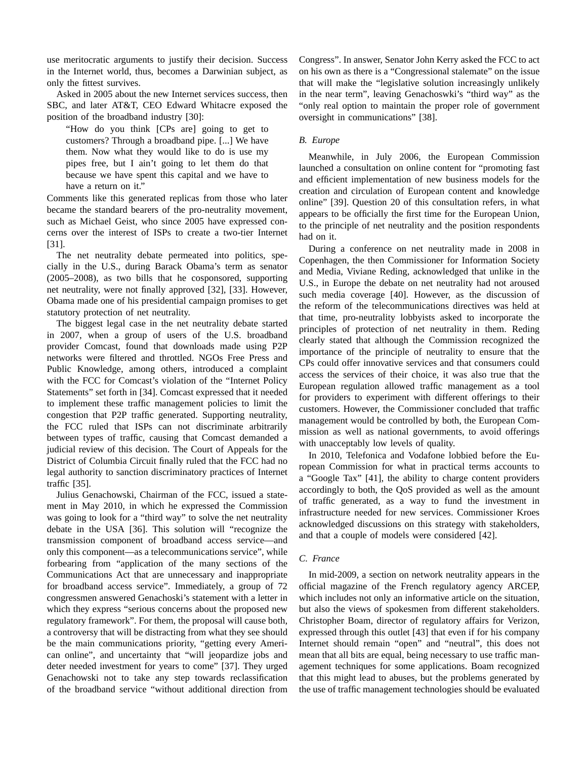use meritocratic arguments to justify their decision. Success in the Internet world, thus, becomes a Darwinian subject, as only the fittest survives.

Asked in 2005 about the new Internet services success, then SBC, and later AT&T, CEO Edward Whitacre exposed the position of the broadband industry [30]:

"How do you think [CPs are] going to get to customers? Through a broadband pipe. [...] We have them. Now what they would like to do is use my pipes free, but I ain't going to let them do that because we have spent this capital and we have to have a return on it."

Comments like this generated replicas from those who later became the standard bearers of the pro-neutrality movement, such as Michael Geist, who since 2005 have expressed concerns over the interest of ISPs to create a two-tier Internet [31].

The net neutrality debate permeated into politics, specially in the U.S., during Barack Obama's term as senator (2005–2008), as two bills that he cosponsored, supporting net neutrality, were not finally approved [32], [33]. However, Obama made one of his presidential campaign promises to get statutory protection of net neutrality.

The biggest legal case in the net neutrality debate started in 2007, when a group of users of the U.S. broadband provider Comcast, found that downloads made using P2P networks were filtered and throttled. NGOs Free Press and Public Knowledge, among others, introduced a complaint with the FCC for Comcast's violation of the "Internet Policy Statements" set forth in [34]. Comcast expressed that it needed to implement these traffic management policies to limit the congestion that P2P traffic generated. Supporting neutrality, the FCC ruled that ISPs can not discriminate arbitrarily between types of traffic, causing that Comcast demanded a judicial review of this decision. The Court of Appeals for the District of Columbia Circuit finally ruled that the FCC had no legal authority to sanction discriminatory practices of Internet traffic [35].

Julius Genachowski, Chairman of the FCC, issued a statement in May 2010, in which he expressed the Commission was going to look for a "third way" to solve the net neutrality debate in the USA [36]. This solution will "recognize the transmission component of broadband access service—and only this component—as a telecommunications service", while forbearing from "application of the many sections of the Communications Act that are unnecessary and inappropriate for broadband access service". Immediately, a group of 72 congressmen answered Genachoski's statement with a letter in which they express "serious concerns about the proposed new regulatory framework". For them, the proposal will cause both, a controversy that will be distracting from what they see should be the main communications priority, "getting every American online", and uncertainty that "will jeopardize jobs and deter needed investment for years to come" [37]. They urged Genachowski not to take any step towards reclassification of the broadband service "without additional direction from Congress". In answer, Senator John Kerry asked the FCC to act on his own as there is a "Congressional stalemate" on the issue that will make the "legislative solution increasingly unlikely in the near term", leaving Genachoswki's "third way" as the "only real option to maintain the proper role of government oversight in communications" [38].

#### *B. Europe*

Meanwhile, in July 2006, the European Commission launched a consultation on online content for "promoting fast and efficient implementation of new business models for the creation and circulation of European content and knowledge online" [39]. Question 20 of this consultation refers, in what appears to be officially the first time for the European Union, to the principle of net neutrality and the position respondents had on it.

During a conference on net neutrality made in 2008 in Copenhagen, the then Commissioner for Information Society and Media, Viviane Reding, acknowledged that unlike in the U.S., in Europe the debate on net neutrality had not aroused such media coverage [40]. However, as the discussion of the reform of the telecommunications directives was held at that time, pro-neutrality lobbyists asked to incorporate the principles of protection of net neutrality in them. Reding clearly stated that although the Commission recognized the importance of the principle of neutrality to ensure that the CPs could offer innovative services and that consumers could access the services of their choice, it was also true that the European regulation allowed traffic management as a tool for providers to experiment with different offerings to their customers. However, the Commissioner concluded that traffic management would be controlled by both, the European Commission as well as national governments, to avoid offerings with unacceptably low levels of quality.

In 2010, Telefonica and Vodafone lobbied before the European Commission for what in practical terms accounts to a "Google Tax" [41], the ability to charge content providers accordingly to both, the QoS provided as well as the amount of traffic generated, as a way to fund the investment in infrastructure needed for new services. Commissioner Kroes acknowledged discussions on this strategy with stakeholders, and that a couple of models were considered [42].

### *C. France*

In mid-2009, a section on network neutrality appears in the official magazine of the French regulatory agency ARCEP, which includes not only an informative article on the situation, but also the views of spokesmen from different stakeholders. Christopher Boam, director of regulatory affairs for Verizon, expressed through this outlet [43] that even if for his company Internet should remain "open" and "neutral", this does not mean that all bits are equal, being necessary to use traffic management techniques for some applications. Boam recognized that this might lead to abuses, but the problems generated by the use of traffic management technologies should be evaluated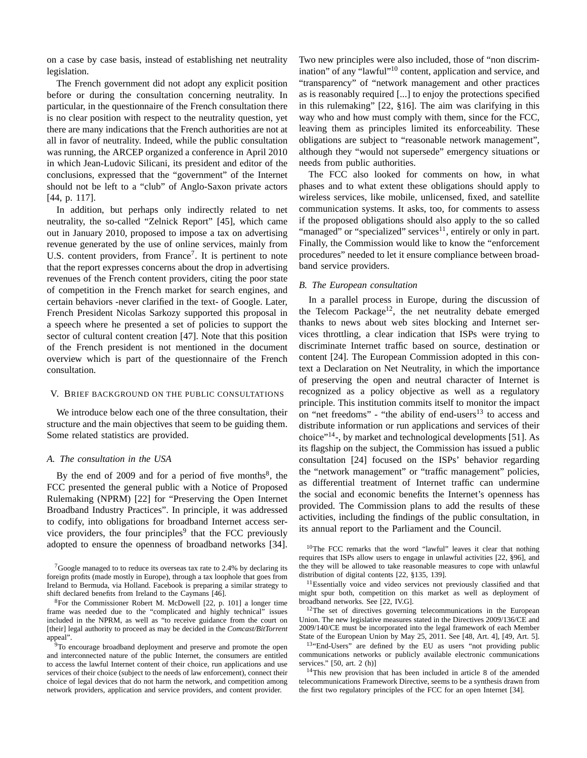on a case by case basis, instead of establishing net neutrality legislation.

The French government did not adopt any explicit position before or during the consultation concerning neutrality. In particular, in the questionnaire of the French consultation there is no clear position with respect to the neutrality question, yet there are many indications that the French authorities are not at all in favor of neutrality. Indeed, while the public consultation was running, the ARCEP organized a conference in April 2010 in which Jean-Ludovic Silicani, its president and editor of the conclusions, expressed that the "government" of the Internet should not be left to a "club" of Anglo-Saxon private actors [44, p. 117].

In addition, but perhaps only indirectly related to net neutrality, the so-called "Zelnick Report" [45], which came out in January 2010, proposed to impose a tax on advertising revenue generated by the use of online services, mainly from U.S. content providers, from France<sup>7</sup>. It is pertinent to note that the report expresses concerns about the drop in advertising revenues of the French content providers, citing the poor state of competition in the French market for search engines, and certain behaviors -never clarified in the text- of Google. Later, French President Nicolas Sarkozy supported this proposal in a speech where he presented a set of policies to support the sector of cultural content creation [47]. Note that this position of the French president is not mentioned in the document overview which is part of the questionnaire of the French consultation.

#### V. BRIEF BACKGROUND ON THE PUBLIC CONSULTATIONS

We introduce below each one of the three consultation, their structure and the main objectives that seem to be guiding them. Some related statistics are provided.

#### *A. The consultation in the USA*

By the end of  $2009$  and for a period of five months<sup>8</sup>, the FCC presented the general public with a Notice of Proposed Rulemaking (NPRM) [22] for "Preserving the Open Internet Broadband Industry Practices". In principle, it was addressed to codify, into obligations for broadband Internet access service providers, the four principles<sup>9</sup> that the FCC previously adopted to ensure the openness of broadband networks [34].

<sup>9</sup>To encourage broadband deployment and preserve and promote the open and interconnected nature of the public Internet, the consumers are entitled to access the lawful Internet content of their choice, run applications and use services of their choice (subject to the needs of law enforcement), connect their choice of legal devices that do not harm the network, and competition among network providers, application and service providers, and content provider.

Two new principles were also included, those of "non discrimination" of any "lawful"<sup>10</sup> content, application and service, and "transparency" of "network management and other practices as is reasonably required [...] to enjoy the protections specified in this rulemaking" [22, §16]. The aim was clarifying in this way who and how must comply with them, since for the FCC, leaving them as principles limited its enforceability. These obligations are subject to "reasonable network management", although they "would not supersede" emergency situations or needs from public authorities.

The FCC also looked for comments on how, in what phases and to what extent these obligations should apply to wireless services, like mobile, unlicensed, fixed, and satellite communication systems. It asks, too, for comments to assess if the proposed obligations should also apply to the so called "managed" or "specialized" services<sup>11</sup>, entirely or only in part. Finally, the Commission would like to know the "enforcement procedures" needed to let it ensure compliance between broadband service providers.

#### *B. The European consultation*

In a parallel process in Europe, during the discussion of the Telecom Package<sup>12</sup>, the net neutrality debate emerged thanks to news about web sites blocking and Internet services throttling, a clear indication that ISPs were trying to discriminate Internet traffic based on source, destination or content [24]. The European Commission adopted in this context a Declaration on Net Neutrality, in which the importance of preserving the open and neutral character of Internet is recognized as a policy objective as well as a regulatory principle. This institution commits itself to monitor the impact on "net freedoms" - "the ability of end-users<sup>13</sup> to access and distribute information or run applications and services of their choice"<sup>14</sup>-, by market and technological developments [51]. As its flagship on the subject, the Commission has issued a public consultation [24] focused on the ISPs' behavior regarding the "network management" or "traffic management" policies, as differential treatment of Internet traffic can undermine the social and economic benefits the Internet's openness has provided. The Commission plans to add the results of these activities, including the findings of the public consultation, in its annual report to the Parliament and the Council.

 $7$ Google managed to to reduce its overseas tax rate to 2.4% by declaring its foreign profits (made mostly in Europe), through a tax loophole that goes from Ireland to Bermuda, via Holland. Facebook is preparing a similar strategy to shift declared benefits from Ireland to the Caymans [46].

<sup>8</sup>For the Commissioner Robert M. McDowell [22, p. 101] a longer time frame was needed due to the "complicated and highly technical" issues included in the NPRM, as well as "to receive guidance from the court on [their] legal authority to proceed as may be decided in the *Comcast/BitTorrent* appeal".

<sup>&</sup>lt;sup>10</sup>The FCC remarks that the word "lawful" leaves it clear that nothing requires that ISPs allow users to engage in unlawful activities [22, §96], and the they will be allowed to take reasonable measures to cope with unlawful distribution of digital contents [22, §135, 139].

<sup>11</sup>Essentially voice and video services not previously classified and that might spur both, competition on this market as well as deployment of broadband networks. See [22, IV.G].

<sup>&</sup>lt;sup>12</sup>The set of directives governing telecommunications in the European Union. The new legislative measures stated in the Directives 2009/136/CE and 2009/140/CE must be incorporated into the legal framework of each Member State of the European Union by May 25, 2011. See [48, Art. 4], [49, Art. 5].

<sup>13&</sup>quot;End-Users" are defined by the EU as users "not providing public communications networks or publicly available electronic communications services." [50, art. 2 (h)]

<sup>&</sup>lt;sup>14</sup>This new provision that has been included in article 8 of the amended telecommunications Framework Directive, seems to be a synthesis drawn from the first two regulatory principles of the FCC for an open Internet [34].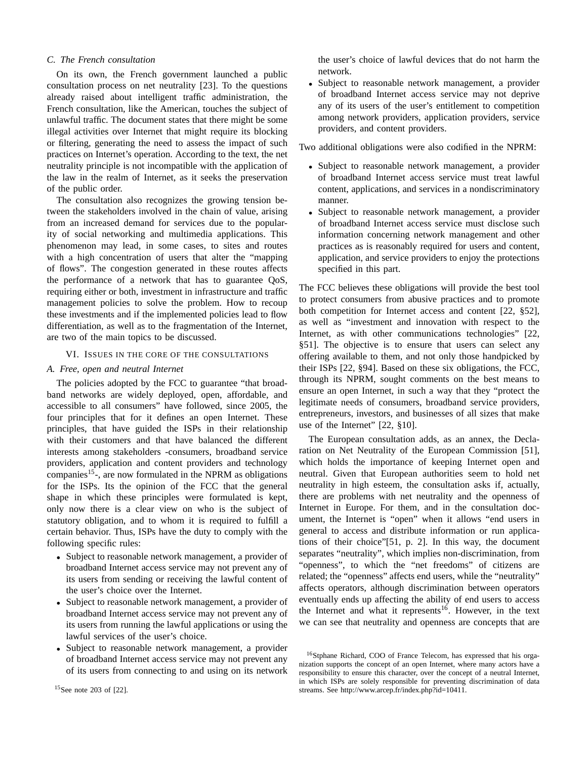#### *C. The French consultation*

On its own, the French government launched a public consultation process on net neutrality [23]. To the questions already raised about intelligent traffic administration, the French consultation, like the American, touches the subject of unlawful traffic. The document states that there might be some illegal activities over Internet that might require its blocking or filtering, generating the need to assess the impact of such practices on Internet's operation. According to the text, the net neutrality principle is not incompatible with the application of the law in the realm of Internet, as it seeks the preservation of the public order.

The consultation also recognizes the growing tension between the stakeholders involved in the chain of value, arising from an increased demand for services due to the popularity of social networking and multimedia applications. This phenomenon may lead, in some cases, to sites and routes with a high concentration of users that alter the "mapping of flows". The congestion generated in these routes affects the performance of a network that has to guarantee QoS, requiring either or both, investment in infrastructure and traffic management policies to solve the problem. How to recoup these investments and if the implemented policies lead to flow differentiation, as well as to the fragmentation of the Internet, are two of the main topics to be discussed.

#### VI. ISSUES IN THE CORE OF THE CONSULTATIONS

#### *A. Free, open and neutral Internet*

The policies adopted by the FCC to guarantee "that broadband networks are widely deployed, open, affordable, and accessible to all consumers" have followed, since 2005, the four principles that for it defines an open Internet. These principles, that have guided the ISPs in their relationship with their customers and that have balanced the different interests among stakeholders -consumers, broadband service providers, application and content providers and technology companies<sup>15</sup>-, are now formulated in the NPRM as obligations for the ISPs. Its the opinion of the FCC that the general shape in which these principles were formulated is kept, only now there is a clear view on who is the subject of statutory obligation, and to whom it is required to fulfill a certain behavior. Thus, ISPs have the duty to comply with the following specific rules:

- Subject to reasonable network management, a provider of broadband Internet access service may not prevent any of its users from sending or receiving the lawful content of the user's choice over the Internet.
- Subject to reasonable network management, a provider of broadband Internet access service may not prevent any of its users from running the lawful applications or using the lawful services of the user's choice.
- Subject to reasonable network management, a provider of broadband Internet access service may not prevent any of its users from connecting to and using on its network

the user's choice of lawful devices that do not harm the network.

• Subject to reasonable network management, a provider of broadband Internet access service may not deprive any of its users of the user's entitlement to competition among network providers, application providers, service providers, and content providers.

Two additional obligations were also codified in the NPRM:

- Subject to reasonable network management, a provider of broadband Internet access service must treat lawful content, applications, and services in a nondiscriminatory manner.
- Subject to reasonable network management, a provider of broadband Internet access service must disclose such information concerning network management and other practices as is reasonably required for users and content, application, and service providers to enjoy the protections specified in this part.

The FCC believes these obligations will provide the best tool to protect consumers from abusive practices and to promote both competition for Internet access and content [22, §52], as well as "investment and innovation with respect to the Internet, as with other communications technologies" [22, §51]. The objective is to ensure that users can select any offering available to them, and not only those handpicked by their ISPs [22, §94]. Based on these six obligations, the FCC, through its NPRM, sought comments on the best means to ensure an open Internet, in such a way that they "protect the legitimate needs of consumers, broadband service providers, entrepreneurs, investors, and businesses of all sizes that make use of the Internet" [22, §10].

The European consultation adds, as an annex, the Declaration on Net Neutrality of the European Commission [51], which holds the importance of keeping Internet open and neutral. Given that European authorities seem to hold net neutrality in high esteem, the consultation asks if, actually, there are problems with net neutrality and the openness of Internet in Europe. For them, and in the consultation document, the Internet is "open" when it allows "end users in general to access and distribute information or run applications of their choice"[51, p. 2]. In this way, the document separates "neutrality", which implies non-discrimination, from "openness", to which the "net freedoms" of citizens are related; the "openness" affects end users, while the "neutrality" affects operators, although discrimination between operators eventually ends up affecting the ability of end users to access the Internet and what it represents<sup>16</sup>. However, in the text we can see that neutrality and openness are concepts that are

<sup>&</sup>lt;sup>16</sup>Stphane Richard, COO of France Telecom, has expressed that his organization supports the concept of an open Internet, where many actors have a responsibility to ensure this character, over the concept of a neutral Internet, in which ISPs are solely responsible for preventing discrimination of data streams. See http://www.arcep.fr/index.php?id=10411.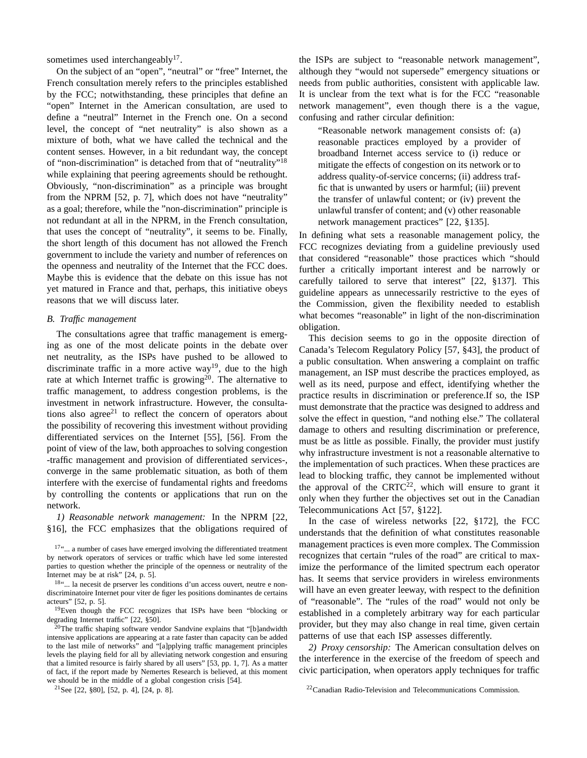sometimes used interchangeably<sup>17</sup>.

On the subject of an "open", "neutral" or "free" Internet, the French consultation merely refers to the principles established by the FCC; notwithstanding, these principles that define an "open" Internet in the American consultation, are used to define a "neutral" Internet in the French one. On a second level, the concept of "net neutrality" is also shown as a mixture of both, what we have called the technical and the content senses. However, in a bit redundant way, the concept of "non-discrimination" is detached from that of "neutrality"<sup>18</sup> while explaining that peering agreements should be rethought. Obviously, "non-discrimination" as a principle was brought from the NPRM [52, p. 7], which does not have "neutrality" as a goal; therefore, while the "non-discrimination" principle is not redundant at all in the NPRM, in the French consultation, that uses the concept of "neutrality", it seems to be. Finally, the short length of this document has not allowed the French government to include the variety and number of references on the openness and neutrality of the Internet that the FCC does. Maybe this is evidence that the debate on this issue has not yet matured in France and that, perhaps, this initiative obeys reasons that we will discuss later.

#### *B. Traffic management*

The consultations agree that traffic management is emerging as one of the most delicate points in the debate over net neutrality, as the ISPs have pushed to be allowed to discriminate traffic in a more active way<sup>19</sup>, due to the high rate at which Internet traffic is growing<sup>20</sup>. The alternative to traffic management, to address congestion problems, is the investment in network infrastructure. However, the consultations also agree<sup>21</sup> to reflect the concern of operators about the possibility of recovering this investment without providing differentiated services on the Internet [55], [56]. From the point of view of the law, both approaches to solving congestion -traffic management and provision of differentiated services-, converge in the same problematic situation, as both of them interfere with the exercise of fundamental rights and freedoms by controlling the contents or applications that run on the network.

*1) Reasonable network management:* In the NPRM [22, §16], the FCC emphasizes that the obligations required of

17"... a number of cases have emerged involving the differentiated treatment by network operators of services or traffic which have led some interested parties to question whether the principle of the openness or neutrality of the Internet may be at risk" [24, p. 5].

<sup>18</sup>"... la necesit de prserver les conditions d'un access ouvert, neutre e nondiscriminatoire Internet pour viter de figer les positions dominantes de certains acteurs" [52, p. 5].

<sup>19</sup>Even though the FCC recognizes that ISPs have been "blocking or degrading Internet traffic" [22, §50].

 $20$ The traffic shaping software vendor Sandvine explains that "[b]andwidth intensive applications are appearing at a rate faster than capacity can be added to the last mile of networks" and "[a]pplying traffic management principles levels the playing field for all by alleviating network congestion and ensuring that a limited resource is fairly shared by all users" [53, pp. 1, 7]. As a matter of fact, if the report made by Nemertes Research is believed, at this moment we should be in the middle of a global congestion crisis [54].

<sup>21</sup>See [22, §80], [52, p. 4], [24, p. 8].

the ISPs are subject to "reasonable network management", although they "would not supersede" emergency situations or needs from public authorities, consistent with applicable law. It is unclear from the text what is for the FCC "reasonable network management", even though there is a the vague, confusing and rather circular definition:

"Reasonable network management consists of: (a) reasonable practices employed by a provider of broadband Internet access service to (i) reduce or mitigate the effects of congestion on its network or to address quality-of-service concerns; (ii) address traffic that is unwanted by users or harmful; (iii) prevent the transfer of unlawful content; or (iv) prevent the unlawful transfer of content; and (v) other reasonable network management practices" [22, §135].

In defining what sets a reasonable management policy, the FCC recognizes deviating from a guideline previously used that considered "reasonable" those practices which "should further a critically important interest and be narrowly or carefully tailored to serve that interest" [22, §137]. This guideline appears as unnecessarily restrictive to the eyes of the Commission, given the flexibility needed to establish what becomes "reasonable" in light of the non-discrimination obligation.

This decision seems to go in the opposite direction of Canada's Telecom Regulatory Policy [57, §43], the product of a public consultation. When answering a complaint on traffic management, an ISP must describe the practices employed, as well as its need, purpose and effect, identifying whether the practice results in discrimination or preference.If so, the ISP must demonstrate that the practice was designed to address and solve the effect in question, "and nothing else." The collateral damage to others and resulting discrimination or preference, must be as little as possible. Finally, the provider must justify why infrastructure investment is not a reasonable alternative to the implementation of such practices. When these practices are lead to blocking traffic, they cannot be implemented without the approval of the CRTC<sup>22</sup>, which will ensure to grant it only when they further the objectives set out in the Canadian Telecommunications Act [57, §122].

In the case of wireless networks [22, §172], the FCC understands that the definition of what constitutes reasonable management practices is even more complex. The Commission recognizes that certain "rules of the road" are critical to maximize the performance of the limited spectrum each operator has. It seems that service providers in wireless environments will have an even greater leeway, with respect to the definition of "reasonable". The "rules of the road" would not only be established in a completely arbitrary way for each particular provider, but they may also change in real time, given certain patterns of use that each ISP assesses differently.

*2) Proxy censorship:* The American consultation delves on the interference in the exercise of the freedom of speech and civic participation, when operators apply techniques for traffic

<sup>22</sup>Canadian Radio-Television and Telecommunications Commission.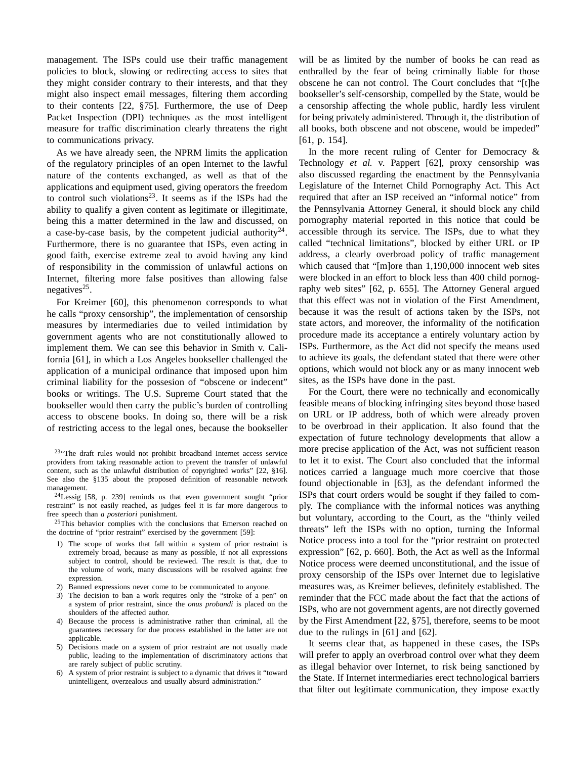management. The ISPs could use their traffic management policies to block, slowing or redirecting access to sites that they might consider contrary to their interests, and that they might also inspect email messages, filtering them according to their contents [22, §75]. Furthermore, the use of Deep Packet Inspection (DPI) techniques as the most intelligent measure for traffic discrimination clearly threatens the right to communications privacy.

As we have already seen, the NPRM limits the application of the regulatory principles of an open Internet to the lawful nature of the contents exchanged, as well as that of the applications and equipment used, giving operators the freedom to control such violations<sup>23</sup>. It seems as if the ISPs had the ability to qualify a given content as legitimate or illegitimate, being this a matter determined in the law and discussed, on a case-by-case basis, by the competent judicial authority<sup>24</sup>. Furthermore, there is no guarantee that ISPs, even acting in good faith, exercise extreme zeal to avoid having any kind of responsibility in the commission of unlawful actions on Internet, filtering more false positives than allowing false negatives<sup>25</sup>.

For Kreimer [60], this phenomenon corresponds to what he calls "proxy censorship", the implementation of censorship measures by intermediaries due to veiled intimidation by government agents who are not constitutionally allowed to implement them. We can see this behavior in Smith v. California [61], in which a Los Angeles bookseller challenged the application of a municipal ordinance that imposed upon him criminal liability for the possesion of "obscene or indecent" books or writings. The U.S. Supreme Court stated that the bookseller would then carry the public's burden of controlling access to obscene books. In doing so, there will be a risk of restricting access to the legal ones, because the bookseller

<sup>23</sup>"The draft rules would not prohibit broadband Internet access service providers from taking reasonable action to prevent the transfer of unlawful content, such as the unlawful distribution of copyrighted works" [22, §16]. See also the §135 about the proposed definition of reasonable network management.

<sup>24</sup>Lessig [58, p. 239] reminds us that even government sought "prior restraint" is not easily reached, as judges feel it is far more dangerous to free speech than *a posteriori* punishment.

 $25$ This behavior complies with the conclusions that Emerson reached on the doctrine of "prior restraint" exercised by the government [59]:

- 1) The scope of works that fall within a system of prior restraint is extremely broad, because as many as possible, if not all expressions subject to control, should be reviewed. The result is that, due to the volume of work, many discussions will be resolved against free expression.
- 2) Banned expressions never come to be communicated to anyone.
- 3) The decision to ban a work requires only the "stroke of a pen" on a system of prior restraint, since the *onus probandi* is placed on the shoulders of the affected author.
- 4) Because the process is administrative rather than criminal, all the guarantees necessary for due process established in the latter are not applicable.
- 5) Decisions made on a system of prior restraint are not usually made public, leading to the implementation of discriminatory actions that are rarely subject of public scrutiny.
- 6) A system of prior restraint is subject to a dynamic that drives it "toward unintelligent, overzealous and usually absurd administration."

will be as limited by the number of books he can read as enthralled by the fear of being criminally liable for those obscene he can not control. The Court concludes that "[t]he bookseller's self-censorship, compelled by the State, would be a censorship affecting the whole public, hardly less virulent for being privately administered. Through it, the distribution of all books, both obscene and not obscene, would be impeded" [61, p. 154].

In the more recent ruling of Center for Democracy  $\&$ Technology *et al.* v. Pappert [62], proxy censorship was also discussed regarding the enactment by the Pennsylvania Legislature of the Internet Child Pornography Act. This Act required that after an ISP received an "informal notice" from the Pennsylvania Attorney General, it should block any child pornography material reported in this notice that could be accessible through its service. The ISPs, due to what they called "technical limitations", blocked by either URL or IP address, a clearly overbroad policy of traffic management which caused that "[m]ore than 1,190,000 innocent web sites were blocked in an effort to block less than 400 child pornography web sites" [62, p. 655]. The Attorney General argued that this effect was not in violation of the First Amendment, because it was the result of actions taken by the ISPs, not state actors, and moreover, the informality of the notification procedure made its acceptance a entirely voluntary action by ISPs. Furthermore, as the Act did not specify the means used to achieve its goals, the defendant stated that there were other options, which would not block any or as many innocent web sites, as the ISPs have done in the past.

For the Court, there were no technically and economically feasible means of blocking infringing sites beyond those based on URL or IP address, both of which were already proven to be overbroad in their application. It also found that the expectation of future technology developments that allow a more precise application of the Act, was not sufficient reason to let it to exist. The Court also concluded that the informal notices carried a language much more coercive that those found objectionable in [63], as the defendant informed the ISPs that court orders would be sought if they failed to comply. The compliance with the informal notices was anything but voluntary, according to the Court, as the "thinly veiled threats" left the ISPs with no option, turning the Informal Notice process into a tool for the "prior restraint on protected expression" [62, p. 660]. Both, the Act as well as the Informal Notice process were deemed unconstitutional, and the issue of proxy censorship of the ISPs over Internet due to legislative measures was, as Kreimer believes, definitely established. The reminder that the FCC made about the fact that the actions of ISPs, who are not government agents, are not directly governed by the First Amendment [22, §75], therefore, seems to be moot due to the rulings in [61] and [62].

It seems clear that, as happened in these cases, the ISPs will prefer to apply an overbroad control over what they deem as illegal behavior over Internet, to risk being sanctioned by the State. If Internet intermediaries erect technological barriers that filter out legitimate communication, they impose exactly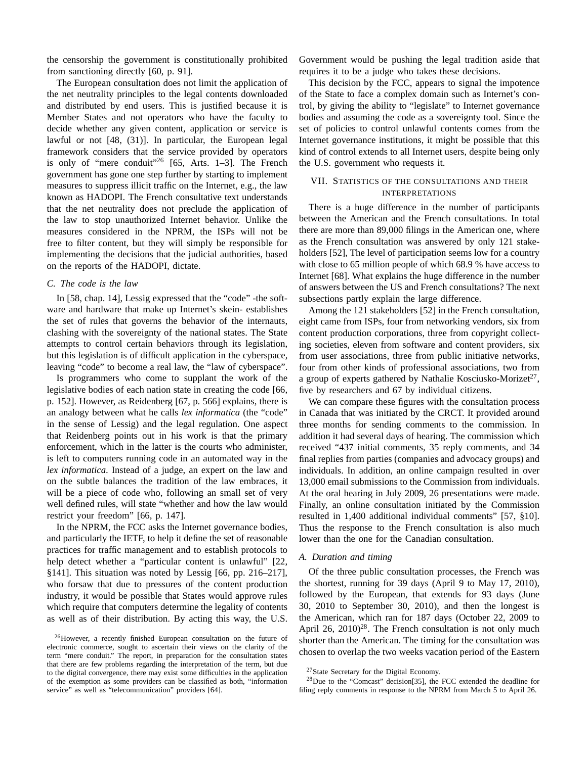the censorship the government is constitutionally prohibited from sanctioning directly [60, p. 91].

The European consultation does not limit the application of the net neutrality principles to the legal contents downloaded and distributed by end users. This is justified because it is Member States and not operators who have the faculty to decide whether any given content, application or service is lawful or not [48, (31)]. In particular, the European legal framework considers that the service provided by operators is only of "mere conduit"<sup>26</sup> [65, Arts. 1–3]. The French government has gone one step further by starting to implement measures to suppress illicit traffic on the Internet, e.g., the law known as HADOPI. The French consultative text understands that the net neutrality does not preclude the application of the law to stop unauthorized Internet behavior. Unlike the measures considered in the NPRM, the ISPs will not be free to filter content, but they will simply be responsible for implementing the decisions that the judicial authorities, based on the reports of the HADOPI, dictate.

#### *C. The code is the law*

In [58, chap. 14], Lessig expressed that the "code" -the software and hardware that make up Internet's skein- establishes the set of rules that governs the behavior of the internauts, clashing with the sovereignty of the national states. The State attempts to control certain behaviors through its legislation, but this legislation is of difficult application in the cyberspace, leaving "code" to become a real law, the "law of cyberspace".

Is programmers who come to supplant the work of the legislative bodies of each nation state in creating the code [66, p. 152]. However, as Reidenberg [67, p. 566] explains, there is an analogy between what he calls *lex informatica* (the "code" in the sense of Lessig) and the legal regulation. One aspect that Reidenberg points out in his work is that the primary enforcement, which in the latter is the courts who administer, is left to computers running code in an automated way in the *lex informatica*. Instead of a judge, an expert on the law and on the subtle balances the tradition of the law embraces, it will be a piece of code who, following an small set of very well defined rules, will state "whether and how the law would restrict your freedom" [66, p. 147].

In the NPRM, the FCC asks the Internet governance bodies, and particularly the IETF, to help it define the set of reasonable practices for traffic management and to establish protocols to help detect whether a "particular content is unlawful" [22, §141]. This situation was noted by Lessig [66, pp. 216–217], who forsaw that due to pressures of the content production industry, it would be possible that States would approve rules which require that computers determine the legality of contents as well as of their distribution. By acting this way, the U.S. Government would be pushing the legal tradition aside that requires it to be a judge who takes these decisions.

This decision by the FCC, appears to signal the impotence of the State to face a complex domain such as Internet's control, by giving the ability to "legislate" to Internet governance bodies and assuming the code as a sovereignty tool. Since the set of policies to control unlawful contents comes from the Internet governance institutions, it might be possible that this kind of control extends to all Internet users, despite being only the U.S. government who requests it.

### VII. STATISTICS OF THE CONSULTATIONS AND THEIR INTERPRETATIONS

There is a huge difference in the number of participants between the American and the French consultations. In total there are more than 89,000 filings in the American one, where as the French consultation was answered by only 121 stakeholders [52], The level of participation seems low for a country with close to 65 million people of which 68.9 % have access to Internet [68]. What explains the huge difference in the number of answers between the US and French consultations? The next subsections partly explain the large difference.

Among the 121 stakeholders [52] in the French consultation, eight came from ISPs, four from networking vendors, six from content production corporations, three from copyright collecting societies, eleven from software and content providers, six from user associations, three from public initiative networks, four from other kinds of professional associations, two from a group of experts gathered by Nathalie Kosciusko-Morizet<sup>27</sup>, five by researchers and 67 by individual citizens.

We can compare these figures with the consultation process in Canada that was initiated by the CRCT. It provided around three months for sending comments to the commission. In addition it had several days of hearing. The commission which received "437 initial comments, 35 reply comments, and 34 final replies from parties (companies and advocacy groups) and individuals. In addition, an online campaign resulted in over 13,000 email submissions to the Commission from individuals. At the oral hearing in July 2009, 26 presentations were made. Finally, an online consultation initiated by the Commission resulted in 1,400 additional individual comments" [57, §10]. Thus the response to the French consultation is also much lower than the one for the Canadian consultation.

#### *A. Duration and timing*

Of the three public consultation processes, the French was the shortest, running for 39 days (April 9 to May 17, 2010), followed by the European, that extends for 93 days (June 30, 2010 to September 30, 2010), and then the longest is the American, which ran for 187 days (October 22, 2009 to April 26,  $2010)^{28}$ . The French consultation is not only much shorter than the American. The timing for the consultation was chosen to overlap the two weeks vacation period of the Eastern

<sup>&</sup>lt;sup>26</sup>However, a recently finished European consultation on the future of electronic commerce, sought to ascertain their views on the clarity of the term "mere conduit." The report, in preparation for the consultation states that there are few problems regarding the interpretation of the term, but due to the digital convergence, there may exist some difficulties in the application of the exemption as some providers can be classified as both, "information service" as well as "telecommunication" providers [64].

<sup>27</sup>State Secretary for the Digital Economy.

<sup>28</sup>Due to the "Comcast" decision[35], the FCC extended the deadline for filing reply comments in response to the NPRM from March 5 to April 26.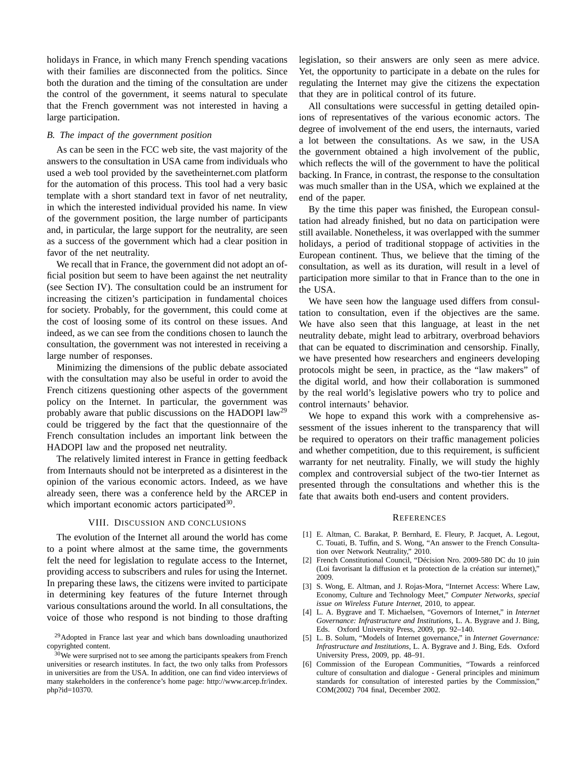holidays in France, in which many French spending vacations with their families are disconnected from the politics. Since both the duration and the timing of the consultation are under the control of the government, it seems natural to speculate that the French government was not interested in having a large participation.

#### *B. The impact of the government position*

As can be seen in the FCC web site, the vast majority of the answers to the consultation in USA came from individuals who used a web tool provided by the savetheinternet.com platform for the automation of this process. This tool had a very basic template with a short standard text in favor of net neutrality, in which the interested individual provided his name. In view of the government position, the large number of participants and, in particular, the large support for the neutrality, are seen as a success of the government which had a clear position in favor of the net neutrality.

We recall that in France, the government did not adopt an official position but seem to have been against the net neutrality (see Section IV). The consultation could be an instrument for increasing the citizen's participation in fundamental choices for society. Probably, for the government, this could come at the cost of loosing some of its control on these issues. And indeed, as we can see from the conditions chosen to launch the consultation, the government was not interested in receiving a large number of responses.

Minimizing the dimensions of the public debate associated with the consultation may also be useful in order to avoid the French citizens questioning other aspects of the government policy on the Internet. In particular, the government was probably aware that public discussions on the HADOPI law<sup>29</sup> could be triggered by the fact that the questionnaire of the French consultation includes an important link between the HADOPI law and the proposed net neutrality.

The relatively limited interest in France in getting feedback from Internauts should not be interpreted as a disinterest in the opinion of the various economic actors. Indeed, as we have already seen, there was a conference held by the ARCEP in which important economic actors participated $30$ .

#### VIII. DISCUSSION AND CONCLUSIONS

The evolution of the Internet all around the world has come to a point where almost at the same time, the governments felt the need for legislation to regulate access to the Internet, providing access to subscribers and rules for using the Internet. In preparing these laws, the citizens were invited to participate in determining key features of the future Internet through various consultations around the world. In all consultations, the voice of those who respond is not binding to those drafting legislation, so their answers are only seen as mere advice. Yet, the opportunity to participate in a debate on the rules for regulating the Internet may give the citizens the expectation that they are in political control of its future.

All consultations were successful in getting detailed opinions of representatives of the various economic actors. The degree of involvement of the end users, the internauts, varied a lot between the consultations. As we saw, in the USA the government obtained a high involvement of the public, which reflects the will of the government to have the political backing. In France, in contrast, the response to the consultation was much smaller than in the USA, which we explained at the end of the paper.

By the time this paper was finished, the European consultation had already finished, but no data on participation were still available. Nonetheless, it was overlapped with the summer holidays, a period of traditional stoppage of activities in the European continent. Thus, we believe that the timing of the consultation, as well as its duration, will result in a level of participation more similar to that in France than to the one in the USA.

We have seen how the language used differs from consultation to consultation, even if the objectives are the same. We have also seen that this language, at least in the net neutrality debate, might lead to arbitrary, overbroad behaviors that can be equated to discrimination and censorship. Finally, we have presented how researchers and engineers developing protocols might be seen, in practice, as the "law makers" of the digital world, and how their collaboration is summoned by the real world's legislative powers who try to police and control internauts' behavior.

We hope to expand this work with a comprehensive assessment of the issues inherent to the transparency that will be required to operators on their traffic management policies and whether competition, due to this requirement, is sufficient warranty for net neutrality. Finally, we will study the highly complex and controversial subject of the two-tier Internet as presented through the consultations and whether this is the fate that awaits both end-users and content providers.

#### **REFERENCES**

- [1] E. Altman, C. Barakat, P. Bernhard, E. Fleury, P. Jacquet, A. Legout, C. Touati, B. Tuffin, and S. Wong, "An answer to the French Consultation over Network Neutrality," 2010.
- [2] French Constitutional Council, "Décision Nro. 2009-580 DC du 10 juin (Loi favorisant la diffusion et la protection de la création sur internet)," 2009.
- [3] S. Wong, E. Altman, and J. Rojas-Mora, "Internet Access: Where Law, Economy, Culture and Technology Meet," *Computer Networks, special issue on Wireless Future Internet*, 2010, to appear.
- [4] L. A. Bygrave and T. Michaelsen, "Governors of Internet," in *Internet Governance: Infrastructure and Institutions*, L. A. Bygrave and J. Bing, Eds. Oxford University Press, 2009, pp. 92–140.
- [5] L. B. Solum, "Models of Internet governance," in *Internet Governance: Infrastructure and Institutions*, L. A. Bygrave and J. Bing, Eds. Oxford University Press, 2009, pp. 48–91.
- [6] Commission of the European Communities, "Towards a reinforced culture of consultation and dialogue - General principles and minimum standards for consultation of interested parties by the Commission," COM(2002) 704 final, December 2002.

<sup>&</sup>lt;sup>29</sup>Adopted in France last year and which bans downloading unauthorized copyrighted content.

 $30\,\text{We}$  were surprised not to see among the participants speakers from French universities or research institutes. In fact, the two only talks from Professors in universities are from the USA. In addition, one can find video interviews of many stakeholders in the conference's home page: http://www.arcep.fr/index. php?id=10370.